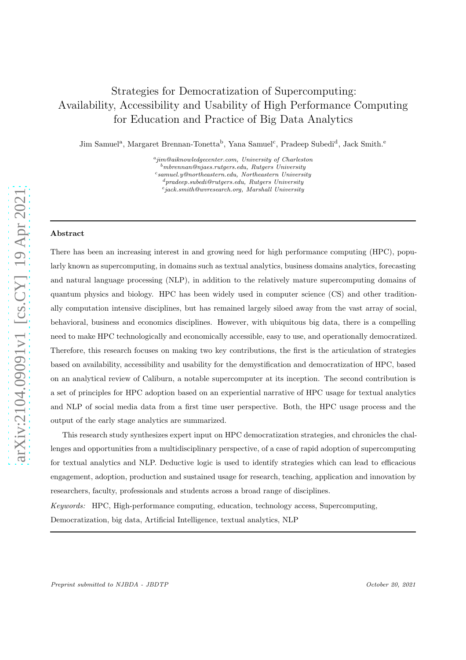# Strategies for Democratization of Supercomputing: Availability, Accessibility and Usability of High Performance Computing for Education and Practice of Big Data Analytics

Jim Samuel<sup>a</sup>, Margaret Brennan-Tonetta<sup>b</sup>, Yana Samuel<sup>c</sup>, Pradeep Subedi<sup>d</sup>, Jack Smith.<sup>e</sup>

a jim@aiknowledgecenter.com, University of Charleston  $^b$ mbrennan@njaes.rutgers.edu, Rutgers University c samuel.y@northeastern.edu, Northeastern University <sup>d</sup>pradeep.subedi@rutgers.edu, Rutgers University

e jack.smith@wvresearch.org, Marshall University

#### Abstract

There has been an increasing interest in and growing need for high performance computing (HPC), popularly known as supercomputing, in domains such as textual analytics, business domains analytics, forecasting and natural language processing (NLP), in addition to the relatively mature supercomputing domains of quantum physics and biology. HPC has been widely used in computer science (CS) and other traditionally computation intensive disciplines, but has remained largely siloed away from the vast array of social, behavioral, business and economics disciplines. However, with ubiquitous big data, there is a compelling need to make HPC technologically and economically accessible, easy to use, and operationally democratized. Therefore, this research focuses on making two key contributions, the first is the articulation of strategies based on availability, accessibility and usability for the demystification and democratization of HPC, based on an analytical review of Caliburn, a notable supercomputer at its inception. The second contribution is a set of principles for HPC adoption based on an experiential narrative of HPC usage for textual analytics and NLP of social media data from a first time user perspective. Both, the HPC usage process and the output of the early stage analytics are summarized.

This research study synthesizes expert input on HPC democratization strategies, and chronicles the challenges and opportunities from a multidisciplinary perspective, of a case of rapid adoption of supercomputing for textual analytics and NLP. Deductive logic is used to identify strategies which can lead to efficacious engagement, adoption, production and sustained usage for research, teaching, application and innovation by researchers, faculty, professionals and students across a broad range of disciplines.

Keywords: HPC, High-performance computing, education, technology access, Supercomputing, Democratization, big data, Artificial Intelligence, textual analytics, NLP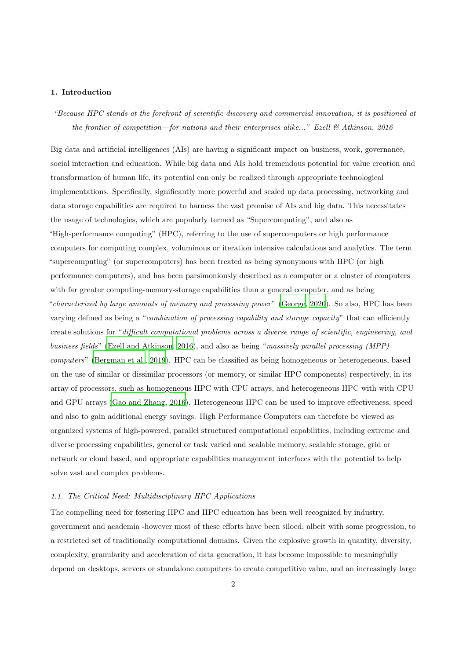## 1. Introduction

"Because HPC stands at the forefront of scientific discovery and commercial innovation, it is positioned at the frontier of competition—for nations and their enterprises alike..." Ezell  $\mathcal{B}$  Atkinson, 2016

Big data and artificial intelligences (AIs) are having a significant impact on business, work, governance, social interaction and education. While big data and AIs hold tremendous potential for value creation and transformation of human life, its potential can only be realized through appropriate technological implementations. Specifically, significantly more powerful and scaled up data processing, networking and data storage capabilities are required to harness the vast promise of AIs and big data. This necessitates the usage of technologies, which are popularly termed as "Supercomputing", and also as "High-performance computing" (HPC), referring to the use of supercomputers or high performance computers for computing complex, voluminous or iteration intensive calculations and analytics. The term "supercomputing" (or supercomputers) has been treated as being synonymous with HPC (or high performance computers), and has been parsimoniously described as a computer or a cluster of computers with far greater computing-memory-storage capabilities than a general computer, and as being "characterized by large amounts of memory and processing power" [\(George, 2020\)](#page-17-0). So also, HPC has been varying defined as being a "combination of processing capability and storage capacity" that can efficiently create solutions for "difficult computational problems across a diverse range of scientific, engineering, and business fields" [\(Ezell and Atkinson, 2016\)](#page-16-0), and also as being "massively parallel processing (MPP) computers" [\(Bergman et al.](#page-16-1), [2019\)](#page-16-1). HPC can be classified as being homogeneous or heterogeneous, based on the use of similar or dissimilar processors (or memory, or similar HPC components) respectively, in its array of processors, such as homogeneous HPC with CPU arrays, and heterogeneous HPC with with CPU and GPU arrays [\(Gao and Zhang, 2016\)](#page-16-2). Heterogeneous HPC can be used to improve effectiveness, speed and also to gain additional energy savings. High Performance Computers can therefore be viewed as organized systems of high-powered, parallel structured computational capabilities, including extreme and diverse processing capabilities, general or task varied and scalable memory, scalable storage, grid or network or cloud based, and appropriate capabilities management interfaces with the potential to help solve vast and complex problems.

## 1.1. The Critical Need: Multidisciplinary HPC Applications

The compelling need for fostering HPC and HPC education has been well recognized by industry, government and academia -however most of these efforts have been siloed, albeit with some progression, to a restricted set of traditionally computational domains. Given the explosive growth in quantity, diversity, complexity, granularity and acceleration of data generation, it has become impossible to meaningfully depend on desktops, servers or standalone computers to create competitive value, and an increasingly large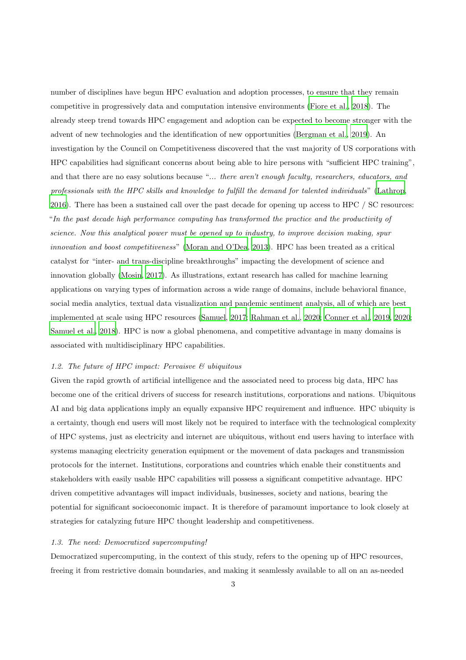number of disciplines have begun HPC evaluation and adoption processes, to ensure that they remain competitive in progressively data and computation intensive environments [\(Fiore et al., 2018\)](#page-16-3). The already steep trend towards HPC engagement and adoption can be expected to become stronger with the advent of new technologies and the identification of new opportunities [\(Bergman et al., 2019\)](#page-16-1). An investigation by the Council on Competitiveness discovered that the vast majority of US corporations with HPC capabilities had significant concerns about being able to hire persons with "sufficient HPC training", and that there are no easy solutions because "... there aren't enough faculty, researchers, educators, and professionals with the HPC skills and knowledge to fulfill the demand for talented individuals" [\(Lathrop,](#page-17-1) [2016](#page-17-1)). There has been a sustained call over the past decade for opening up access to HPC / SC resources: "In the past decade high performance computing has transformed the practice and the productivity of science. Now this analytical power must be opened up to industry, to improve decision making, spur innovation and boost competitiveness" [\(Moran and O'Dea](#page-17-2), [2013\)](#page-17-2). HPC has been treated as a critical catalyst for "inter- and trans-discipline breakthroughs" impacting the development of science and innovation globally [\(Mosin, 2017\)](#page-17-3). As illustrations, extant research has called for machine learning applications on varying types of information across a wide range of domains, include behavioral finance, social media analytics, textual data visualization and pandemic sentiment analysis, all of which are best implemented at scale using HPC resources [\(Samuel](#page-17-4), [2017;](#page-17-4) [Rahman et](#page-17-5) al., [2020;](#page-17-5) [Conner et al., 2019,](#page-16-4) [2020;](#page-16-5) [Samuel et al.](#page-18-0), [2018](#page-18-0)). HPC is now a global phenomena, and competitive advantage in many domains is associated with multidisciplinary HPC capabilities.

### 1.2. The future of HPC impact: Pervaisve & ubiquitous

Given the rapid growth of artificial intelligence and the associated need to process big data, HPC has become one of the critical drivers of success for research institutions, corporations and nations. Ubiquitous AI and big data applications imply an equally expansive HPC requirement and influence. HPC ubiquity is a certainty, though end users will most likely not be required to interface with the technological complexity of HPC systems, just as electricity and internet are ubiquitous, without end users having to interface with systems managing electricity generation equipment or the movement of data packages and transmission protocols for the internet. Institutions, corporations and countries which enable their constituents and stakeholders with easily usable HPC capabilities will possess a significant competitive advantage. HPC driven competitive advantages will impact individuals, businesses, society and nations, bearing the potential for significant socioeconomic impact. It is therefore of paramount importance to look closely at strategies for catalyzing future HPC thought leadership and competitiveness.

#### 1.3. The need: Democratized supercomputing!

Democratized supercomputing, in the context of this study, refers to the opening up of HPC resources, freeing it from restrictive domain boundaries, and making it seamlessly available to all on an as-needed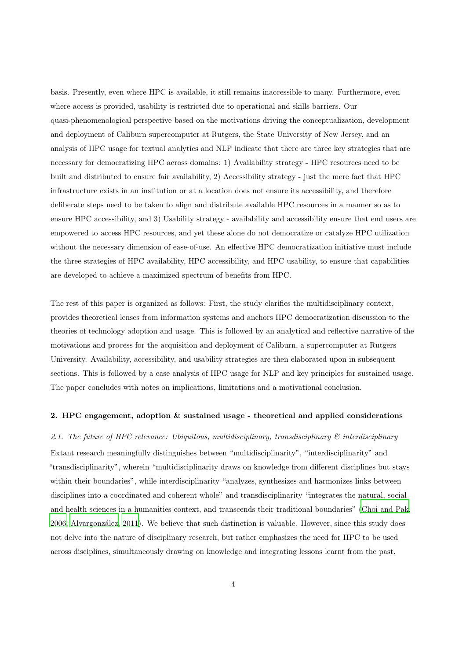basis. Presently, even where HPC is available, it still remains inaccessible to many. Furthermore, even where access is provided, usability is restricted due to operational and skills barriers. Our quasi-phenomenological perspective based on the motivations driving the conceptualization, development and deployment of Caliburn supercomputer at Rutgers, the State University of New Jersey, and an analysis of HPC usage for textual analytics and NLP indicate that there are three key strategies that are necessary for democratizing HPC across domains: 1) Availability strategy - HPC resources need to be built and distributed to ensure fair availability, 2) Accessibility strategy - just the mere fact that HPC infrastructure exists in an institution or at a location does not ensure its accessibility, and therefore deliberate steps need to be taken to align and distribute available HPC resources in a manner so as to ensure HPC accessibility, and 3) Usability strategy - availability and accessibility ensure that end users are empowered to access HPC resources, and yet these alone do not democratize or catalyze HPC utilization without the necessary dimension of ease-of-use. An effective HPC democratization initiative must include the three strategies of HPC availability, HPC accessibility, and HPC usability, to ensure that capabilities are developed to achieve a maximized spectrum of benefits from HPC.

The rest of this paper is organized as follows: First, the study clarifies the multidisciplinary context, provides theoretical lenses from information systems and anchors HPC democratization discussion to the theories of technology adoption and usage. This is followed by an analytical and reflective narrative of the motivations and process for the acquisition and deployment of Caliburn, a supercomputer at Rutgers University. Availability, accessibility, and usability strategies are then elaborated upon in subsequent sections. This is followed by a case analysis of HPC usage for NLP and key principles for sustained usage. The paper concludes with notes on implications, limitations and a motivational conclusion.

## 2. HPC engagement, adoption & sustained usage - theoretical and applied considerations

### 2.1. The future of HPC relevance: Ubiquitous, multidisciplinary, transdisciplinary  $\mathcal{C}$  interdisciplinary

Extant research meaningfully distinguishes between "multidisciplinarity", "interdisciplinarity" and "transdisciplinarity", wherein "multidisciplinarity draws on knowledge from different disciplines but stays within their boundaries", while interdisciplinarity "analyzes, synthesizes and harmonizes links between disciplines into a coordinated and coherent whole" and transdisciplinarity "integrates the natural, social and health sciences in a humanities context, and transcends their traditional boundaries" [\(Choi and Pak,](#page-16-6) [2006](#page-16-6); [Alvargonz´alez, 2011\)](#page-15-0). We believe that such distinction is valuable. However, since this study does not delve into the nature of disciplinary research, but rather emphasizes the need for HPC to be used across disciplines, simultaneously drawing on knowledge and integrating lessons learnt from the past,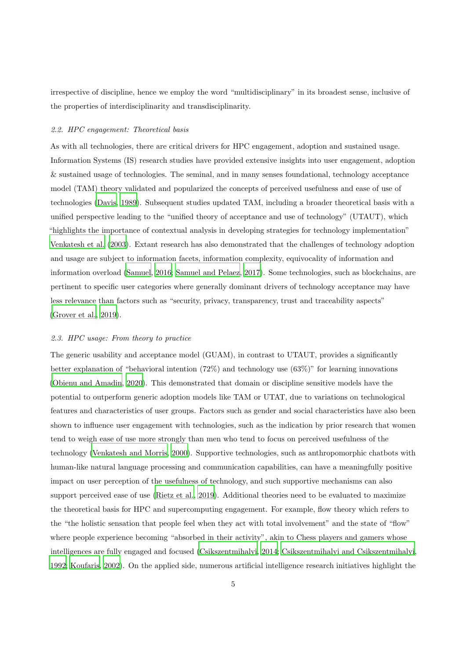irrespective of discipline, hence we employ the word "multidisciplinary" in its broadest sense, inclusive of the properties of interdisciplinarity and transdisciplinarity.

#### 2.2. HPC engagement: Theoretical basis

As with all technologies, there are critical drivers for HPC engagement, adoption and sustained usage. Information Systems (IS) research studies have provided extensive insights into user engagement, adoption & sustained usage of technologies. The seminal, and in many senses foundational, technology acceptance model (TAM) theory validated and popularized the concepts of perceived usefulness and ease of use of technologies [\(Davis](#page-16-7), [1989\)](#page-16-7). Subsequent studies updated TAM, including a broader theoretical basis with a unified perspective leading to the "unified theory of acceptance and use of technology" (UTAUT), which "highlights the importance of contextual analysis in developing strategies for technology implementation" [Venkatesh et al. \(2003\)](#page-18-1). Extant research has also demonstrated that the challenges of technology adoption and usage are subject to information facets, information complexity, equivocality of information and information overload [\(Samuel, 2016;](#page-17-6) [Samuel and Pelaez](#page-18-2), [2017\)](#page-18-2). Some technologies, such as blockchains, are pertinent to specific user categories where generally dominant drivers of technology acceptance may have less relevance than factors such as "security, privacy, transparency, trust and traceability aspects" [\(Grover et al., 2019\)](#page-17-7).

#### 2.3. HPC usage: From theory to practice

The generic usability and acceptance model (GUAM), in contrast to UTAUT, provides a significantly better explanation of "behavioral intention (72%) and technology use (63%)" for learning innovations [\(Obienu and Amadin, 2020\)](#page-17-8). This demonstrated that domain or discipline sensitive models have the potential to outperform generic adoption models like TAM or UTAT, due to variations on technological features and characteristics of user groups. Factors such as gender and social characteristics have also been shown to influence user engagement with technologies, such as the indication by prior research that women tend to weigh ease of use more strongly than men who tend to focus on perceived usefulness of the technology [\(Venkatesh and Morris, 2000](#page-18-3)). Supportive technologies, such as anthropomorphic chatbots with human-like natural language processing and communication capabilities, can have a meaningfully positive impact on user perception of the usefulness of technology, and such supportive mechanisms can also support perceived ease of use [\(Rietz et al.](#page-17-9), [2019](#page-17-9)). Additional theories need to be evaluated to maximize the theoretical basis for HPC and supercomputing engagement. For example, flow theory which refers to the "the holistic sensation that people feel when they act with total involvement" and the state of "flow" where people experience becoming "absorbed in their activity", akin to Chess players and gamers whose intelligences are fully engaged and focused [\(Csikszentmihalyi](#page-16-8), [2014;](#page-16-8) [Csikszentmihalyi and Csikszentmihalyi](#page-16-9), [1992;](#page-16-9) [Koufaris, 2002\)](#page-17-10). On the applied side, numerous artificial intelligence research initiatives highlight the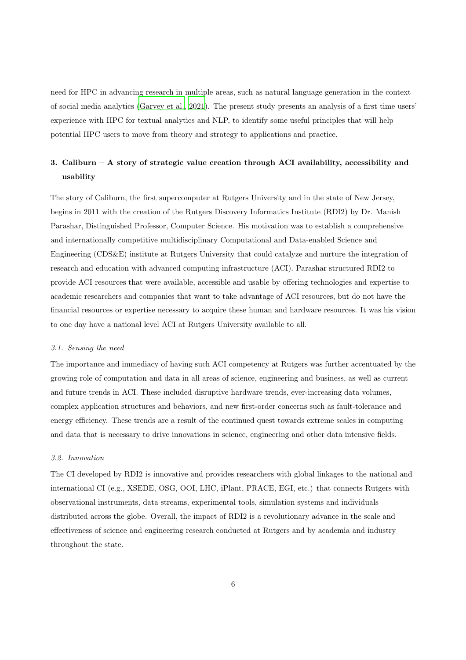need for HPC in advancing research in multiple areas, such as natural language generation in the context of social media analytics [\(Garvey et al.](#page-16-10), [2021](#page-16-10)). The present study presents an analysis of a first time users' experience with HPC for textual analytics and NLP, to identify some useful principles that will help potential HPC users to move from theory and strategy to applications and practice.

## 3. Caliburn – A story of strategic value creation through ACI availability, accessibility and usability

The story of Caliburn, the first supercomputer at Rutgers University and in the state of New Jersey, begins in 2011 with the creation of the Rutgers Discovery Informatics Institute (RDI2) by Dr. Manish Parashar, Distinguished Professor, Computer Science. His motivation was to establish a comprehensive and internationally competitive multidisciplinary Computational and Data-enabled Science and Engineering (CDS&E) institute at Rutgers University that could catalyze and nurture the integration of research and education with advanced computing infrastructure (ACI). Parashar structured RDI2 to provide ACI resources that were available, accessible and usable by offering technologies and expertise to academic researchers and companies that want to take advantage of ACI resources, but do not have the financial resources or expertise necessary to acquire these human and hardware resources. It was his vision to one day have a national level ACI at Rutgers University available to all.

## 3.1. Sensing the need

The importance and immediacy of having such ACI competency at Rutgers was further accentuated by the growing role of computation and data in all areas of science, engineering and business, as well as current and future trends in ACI. These included disruptive hardware trends, ever-increasing data volumes, complex application structures and behaviors, and new first-order concerns such as fault-tolerance and energy efficiency. These trends are a result of the continued quest towards extreme scales in computing and data that is necessary to drive innovations in science, engineering and other data intensive fields.

## 3.2. Innovation

The CI developed by RDI2 is innovative and provides researchers with global linkages to the national and international CI (e.g., XSEDE, OSG, OOI, LHC, iPlant, PRACE, EGI, etc.) that connects Rutgers with observational instruments, data streams, experimental tools, simulation systems and individuals distributed across the globe. Overall, the impact of RDI2 is a revolutionary advance in the scale and effectiveness of science and engineering research conducted at Rutgers and by academia and industry throughout the state.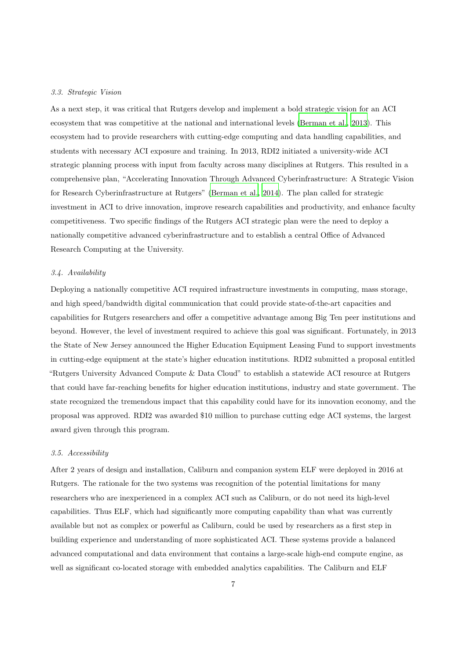#### 3.3. Strategic Vision

As a next step, it was critical that Rutgers develop and implement a bold strategic vision for an ACI ecosystem that was competitive at the national and international levels [\(Berman et al., 2013\)](#page-16-11). This ecosystem had to provide researchers with cutting-edge computing and data handling capabilities, and students with necessary ACI exposure and training. In 2013, RDI2 initiated a university-wide ACI strategic planning process with input from faculty across many disciplines at Rutgers. This resulted in a comprehensive plan, "Accelerating Innovation Through Advanced Cyberinfrastructure: A Strategic Vision for Research Cyberinfrastructure at Rutgers" [\(Berman et al.](#page-16-12), [2014\)](#page-16-12). The plan called for strategic investment in ACI to drive innovation, improve research capabilities and productivity, and enhance faculty competitiveness. Two specific findings of the Rutgers ACI strategic plan were the need to deploy a nationally competitive advanced cyberinfrastructure and to establish a central Office of Advanced Research Computing at the University.

## 3.4. Availability

Deploying a nationally competitive ACI required infrastructure investments in computing, mass storage, and high speed/bandwidth digital communication that could provide state-of-the-art capacities and capabilities for Rutgers researchers and offer a competitive advantage among Big Ten peer institutions and beyond. However, the level of investment required to achieve this goal was significant. Fortunately, in 2013 the State of New Jersey announced the Higher Education Equipment Leasing Fund to support investments in cutting-edge equipment at the state's higher education institutions. RDI2 submitted a proposal entitled "Rutgers University Advanced Compute & Data Cloud" to establish a statewide ACI resource at Rutgers that could have far-reaching benefits for higher education institutions, industry and state government. The state recognized the tremendous impact that this capability could have for its innovation economy, and the proposal was approved. RDI2 was awarded \$10 million to purchase cutting edge ACI systems, the largest award given through this program.

#### 3.5. Accessibility

After 2 years of design and installation, Caliburn and companion system ELF were deployed in 2016 at Rutgers. The rationale for the two systems was recognition of the potential limitations for many researchers who are inexperienced in a complex ACI such as Caliburn, or do not need its high-level capabilities. Thus ELF, which had significantly more computing capability than what was currently available but not as complex or powerful as Caliburn, could be used by researchers as a first step in building experience and understanding of more sophisticated ACI. These systems provide a balanced advanced computational and data environment that contains a large-scale high-end compute engine, as well as significant co-located storage with embedded analytics capabilities. The Caliburn and ELF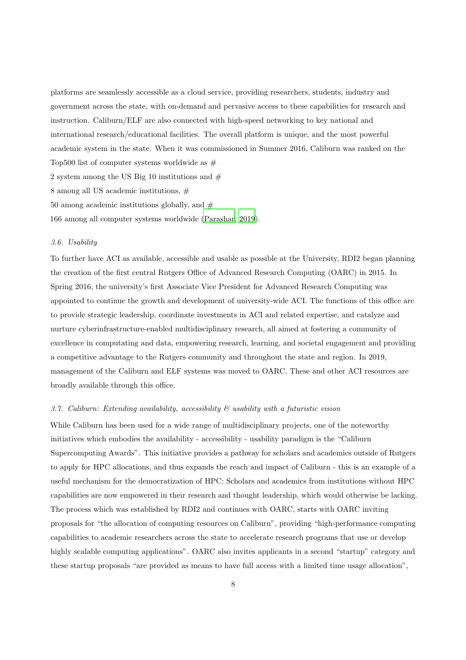platforms are seamlessly accessible as a cloud service, providing researchers, students, industry and government across the state, with on-demand and pervasive access to these capabilities for research and instruction. Caliburn/ELF are also connected with high-speed networking to key national and international research/educational facilities. The overall platform is unique, and the most powerful academic system in the state. When it was commissioned in Summer 2016, Caliburn was ranked on the Top500 list of computer systems worldwide as  $#$ 2 system among the US Big 10 institutions and  $#$ 

8 among all US academic institutions, #

50 among academic institutions globally, and  $#$ 

166 among all computer systems worldwide [\(Parashar, 2019\)](#page-17-11).

#### 3.6. Usability

To further have ACI as available, accessible and usable as possible at the University, RDI2 began planning the creation of the first central Rutgers Office of Advanced Research Computing (OARC) in 2015. In Spring 2016, the university's first Associate Vice President for Advanced Research Computing was appointed to continue the growth and development of university-wide ACI. The functions of this office are to provide strategic leadership, coordinate investments in ACI and related expertise, and catalyze and nurture cyberinfrastructure-enabled multidisciplinary research, all aimed at fostering a community of excellence in computating and data, empowering research, learning, and societal engagement and providing a competitive advantage to the Rutgers community and throughout the state and region. In 2019, management of the Caliburn and ELF systems was moved to OARC. These and other ACI resources are broadly available through this office.

## 3.7. Caliburn: Extending availability, accessibility & usability with a futuristic vision

While Caliburn has been used for a wide range of multidisciplinary projects, one of the noteworthy initiatives which embodies the availability - accessibility - usability paradigm is the "Caliburn Supercomputing Awards". This initiative provides a pathway for scholars and academics outside of Rutgers to apply for HPC allocations, and thus expands the reach and impact of Caliburn - this is an example of a useful mechanism for the democratization of HPC: Scholars and academics from institutions without HPC capabilities are now empowered in their research and thought leadership, which would otherwise be lacking. The process which was established by RDI2 and continues with OARC, starts with OARC inviting proposals for "the allocation of computing resources on Caliburn", providing "high-performance computing capabilities to academic researchers across the state to accelerate research programs that use or develop highly scalable computing applications". OARC also invites applicants in a second "startup" category and these startup proposals "are provided as means to have full access with a limited time usage allocation",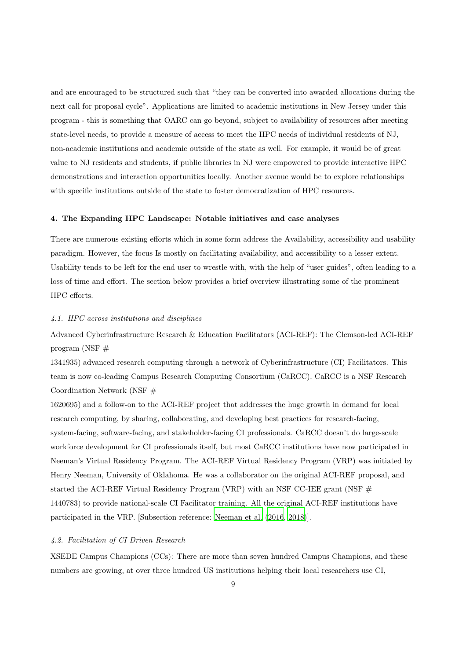and are encouraged to be structured such that "they can be converted into awarded allocations during the next call for proposal cycle". Applications are limited to academic institutions in New Jersey under this program - this is something that OARC can go beyond, subject to availability of resources after meeting state-level needs, to provide a measure of access to meet the HPC needs of individual residents of NJ, non-academic institutions and academic outside of the state as well. For example, it would be of great value to NJ residents and students, if public libraries in NJ were empowered to provide interactive HPC demonstrations and interaction opportunities locally. Another avenue would be to explore relationships with specific institutions outside of the state to foster democratization of HPC resources.

## 4. The Expanding HPC Landscape: Notable initiatives and case analyses

There are numerous existing efforts which in some form address the Availability, accessibility and usability paradigm. However, the focus Is mostly on facilitating availability, and accessibility to a lesser extent. Usability tends to be left for the end user to wrestle with, with the help of "user guides", often leading to a loss of time and effort. The section below provides a brief overview illustrating some of the prominent HPC efforts.

## 4.1. HPC across institutions and disciplines

Advanced Cyberinfrastructure Research & Education Facilitators (ACI-REF): The Clemson-led ACI-REF program (NSF  $#$ 

1341935) advanced research computing through a network of Cyberinfrastructure (CI) Facilitators. This team is now co-leading Campus Research Computing Consortium (CaRCC). CaRCC is a NSF Research Coordination Network (NSF #

1620695) and a follow-on to the ACI-REF project that addresses the huge growth in demand for local research computing, by sharing, collaborating, and developing best practices for research-facing, system-facing, software-facing, and stakeholder-facing CI professionals. CaRCC doesn't do large-scale workforce development for CI professionals itself, but most CaRCC institutions have now participated in Neeman's Virtual Residency Program. The ACI-REF Virtual Residency Program (VRP) was initiated by Henry Neeman, University of Oklahoma. He was a collaborator on the original ACI-REF proposal, and started the ACI-REF Virtual Residency Program (VRP) with an NSF CC-IEE grant (NSF  $#$ 1440783) to provide national-scale CI Facilitator training. All the original ACI-REF institutions have participated in the VRP. [Subsection reference: [Neeman et al. \(2016](#page-17-12), [2018](#page-17-13))].

### 4.2. Facilitation of CI Driven Research

XSEDE Campus Champions (CCs): There are more than seven hundred Campus Champions, and these numbers are growing, at over three hundred US institutions helping their local researchers use CI,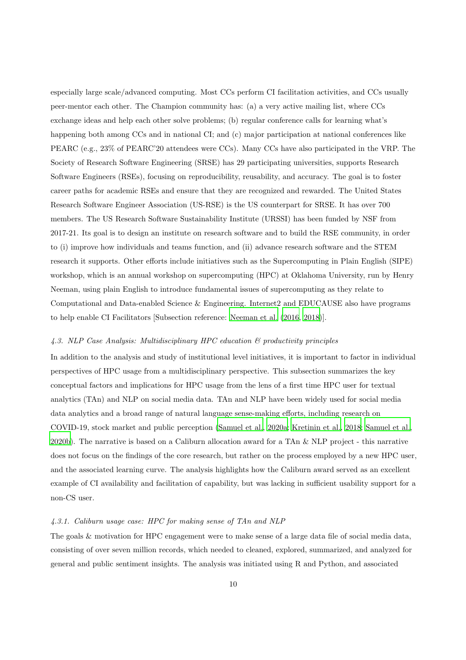especially large scale/advanced computing. Most CCs perform CI facilitation activities, and CCs usually peer-mentor each other. The Champion community has: (a) a very active mailing list, where CCs exchange ideas and help each other solve problems; (b) regular conference calls for learning what's happening both among CCs and in national CI; and (c) major participation at national conferences like PEARC (e.g., 23% of PEARC'20 attendees were CCs). Many CCs have also participated in the VRP. The Society of Research Software Engineering (SRSE) has 29 participating universities, supports Research Software Engineers (RSEs), focusing on reproducibility, reusability, and accuracy. The goal is to foster career paths for academic RSEs and ensure that they are recognized and rewarded. The United States Research Software Engineer Association (US-RSE) is the US counterpart for SRSE. It has over 700 members. The US Research Software Sustainability Institute (URSSI) has been funded by NSF from 2017-21. Its goal is to design an institute on research software and to build the RSE community, in order to (i) improve how individuals and teams function, and (ii) advance research software and the STEM research it supports. Other efforts include initiatives such as the Supercomputing in Plain English (SIPE) workshop, which is an annual workshop on supercomputing (HPC) at Oklahoma University, run by Henry Neeman, using plain English to introduce fundamental issues of supercomputing as they relate to Computational and Data-enabled Science & Engineering. Internet2 and EDUCAUSE also have programs to help enable CI Facilitators [Subsection reference: [Neeman et al. \(2016,](#page-17-12) [2018\)](#page-17-13)].

#### 4.3. NLP Case Analysis: Multidisciplinary HPC education & productivity principles

In addition to the analysis and study of institutional level initiatives, it is important to factor in individual perspectives of HPC usage from a multidisciplinary perspective. This subsection summarizes the key conceptual factors and implications for HPC usage from the lens of a first time HPC user for textual analytics (TAn) and NLP on social media data. TAn and NLP have been widely used for social media data analytics and a broad range of natural language sense-making efforts, including research on COVID-19, stock market and public perception [\(Samuel et al., 2020a;](#page-18-4) [Kretinin et al., 2018;](#page-17-14) [Samuel et al.,](#page-18-5) [2020b\)](#page-18-5). The narrative is based on a Caliburn allocation award for a TAn & NLP project - this narrative does not focus on the findings of the core research, but rather on the process employed by a new HPC user, and the associated learning curve. The analysis highlights how the Caliburn award served as an excellent example of CI availability and facilitation of capability, but was lacking in sufficient usability support for a non-CS user.

#### 4.3.1. Caliburn usage case: HPC for making sense of TAn and NLP

The goals & motivation for HPC engagement were to make sense of a large data file of social media data, consisting of over seven million records, which needed to cleaned, explored, summarized, and analyzed for general and public sentiment insights. The analysis was initiated using R and Python, and associated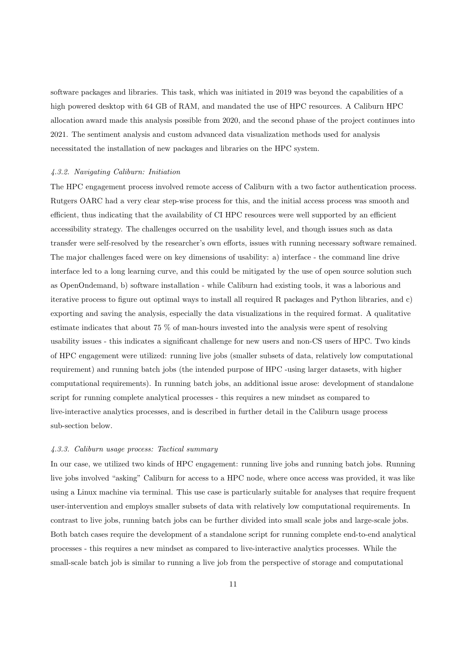software packages and libraries. This task, which was initiated in 2019 was beyond the capabilities of a high powered desktop with 64 GB of RAM, and mandated the use of HPC resources. A Caliburn HPC allocation award made this analysis possible from 2020, and the second phase of the project continues into 2021. The sentiment analysis and custom advanced data visualization methods used for analysis necessitated the installation of new packages and libraries on the HPC system.

#### 4.3.2. Navigating Caliburn: Initiation

The HPC engagement process involved remote access of Caliburn with a two factor authentication process. Rutgers OARC had a very clear step-wise process for this, and the initial access process was smooth and efficient, thus indicating that the availability of CI HPC resources were well supported by an efficient accessibility strategy. The challenges occurred on the usability level, and though issues such as data transfer were self-resolved by the researcher's own efforts, issues with running necessary software remained. The major challenges faced were on key dimensions of usability: a) interface - the command line drive interface led to a long learning curve, and this could be mitigated by the use of open source solution such as OpenOndemand, b) software installation - while Caliburn had existing tools, it was a laborious and iterative process to figure out optimal ways to install all required R packages and Python libraries, and c) exporting and saving the analysis, especially the data visualizations in the required format. A qualitative estimate indicates that about 75 % of man-hours invested into the analysis were spent of resolving usability issues - this indicates a significant challenge for new users and non-CS users of HPC. Two kinds of HPC engagement were utilized: running live jobs (smaller subsets of data, relatively low computational requirement) and running batch jobs (the intended purpose of HPC -using larger datasets, with higher computational requirements). In running batch jobs, an additional issue arose: development of standalone script for running complete analytical processes - this requires a new mindset as compared to live-interactive analytics processes, and is described in further detail in the Caliburn usage process sub-section below.

## 4.3.3. Caliburn usage process: Tactical summary

In our case, we utilized two kinds of HPC engagement: running live jobs and running batch jobs. Running live jobs involved "asking" Caliburn for access to a HPC node, where once access was provided, it was like using a Linux machine via terminal. This use case is particularly suitable for analyses that require frequent user-intervention and employs smaller subsets of data with relatively low computational requirements. In contrast to live jobs, running batch jobs can be further divided into small scale jobs and large-scale jobs. Both batch cases require the development of a standalone script for running complete end-to-end analytical processes - this requires a new mindset as compared to live-interactive analytics processes. While the small-scale batch job is similar to running a live job from the perspective of storage and computational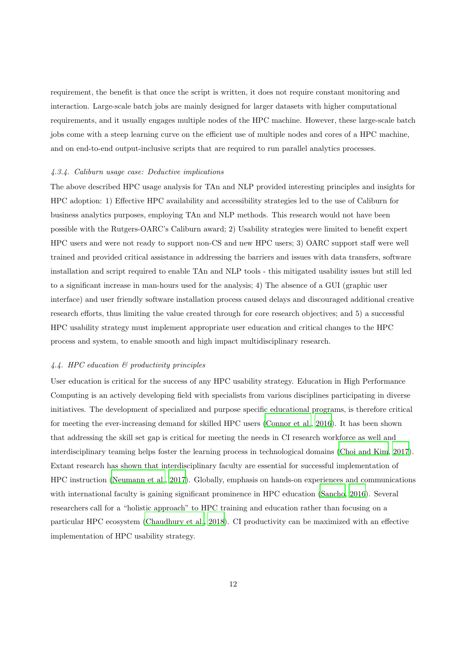requirement, the benefit is that once the script is written, it does not require constant monitoring and interaction. Large-scale batch jobs are mainly designed for larger datasets with higher computational requirements, and it usually engages multiple nodes of the HPC machine. However, these large-scale batch jobs come with a steep learning curve on the efficient use of multiple nodes and cores of a HPC machine, and on end-to-end output-inclusive scripts that are required to run parallel analytics processes.

#### 4.3.4. Caliburn usage case: Deductive implications

The above described HPC usage analysis for TAn and NLP provided interesting principles and insights for HPC adoption: 1) Effective HPC availability and accessibility strategies led to the use of Caliburn for business analytics purposes, employing TAn and NLP methods. This research would not have been possible with the Rutgers-OARC's Caliburn award; 2) Usability strategies were limited to benefit expert HPC users and were not ready to support non-CS and new HPC users; 3) OARC support staff were well trained and provided critical assistance in addressing the barriers and issues with data transfers, software installation and script required to enable TAn and NLP tools - this mitigated usability issues but still led to a significant increase in man-hours used for the analysis; 4) The absence of a GUI (graphic user interface) and user friendly software installation process caused delays and discouraged additional creative research efforts, thus limiting the value created through for core research objectives; and 5) a successful HPC usability strategy must implement appropriate user education and critical changes to the HPC process and system, to enable smooth and high impact multidisciplinary research.

## 4.4. HPC education & productivity principles

User education is critical for the success of any HPC usability strategy. Education in High Performance Computing is an actively developing field with specialists from various disciplines participating in diverse initiatives. The development of specialized and purpose specific educational programs, is therefore critical for meeting the ever-increasing demand for skilled HPC users [\(Connor et al.](#page-16-13), [2016](#page-16-13)). It has been shown that addressing the skill set gap is critical for meeting the needs in CI research workforce as well and interdisciplinary teaming helps foster the learning process in technological domains [\(Choi and Kim, 2017\)](#page-16-14). Extant research has shown that interdisciplinary faculty are essential for successful implementation of HPC instruction [\(Neumann et al., 2017\)](#page-17-15). Globally, emphasis on hands-on experiences and communications with international faculty is gaining significant prominence in HPC education [\(Sancho, 2016\)](#page-18-6). Several researchers call for a "holistic approach" to HPC training and education rather than focusing on a particular HPC ecosystem [\(Chaudhury et al.](#page-16-15), [2018](#page-16-15)). CI productivity can be maximized with an effective implementation of HPC usability strategy.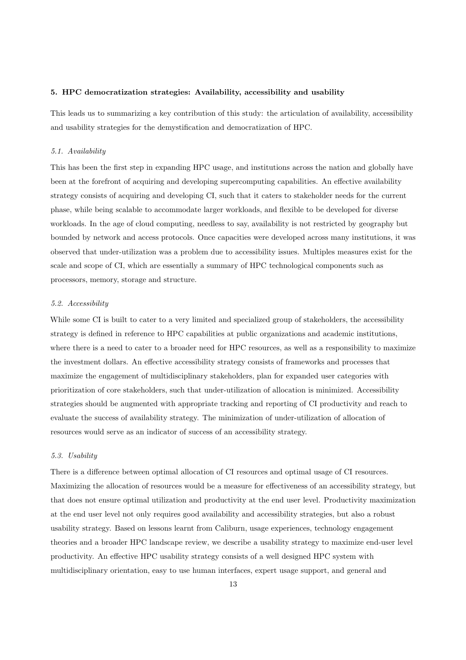## 5. HPC democratization strategies: Availability, accessibility and usability

This leads us to summarizing a key contribution of this study: the articulation of availability, accessibility and usability strategies for the demystification and democratization of HPC.

#### 5.1. Availability

This has been the first step in expanding HPC usage, and institutions across the nation and globally have been at the forefront of acquiring and developing supercomputing capabilities. An effective availability strategy consists of acquiring and developing CI, such that it caters to stakeholder needs for the current phase, while being scalable to accommodate larger workloads, and flexible to be developed for diverse workloads. In the age of cloud computing, needless to say, availability is not restricted by geography but bounded by network and access protocols. Once capacities were developed across many institutions, it was observed that under-utilization was a problem due to accessibility issues. Multiples measures exist for the scale and scope of CI, which are essentially a summary of HPC technological components such as processors, memory, storage and structure.

### 5.2. Accessibility

While some CI is built to cater to a very limited and specialized group of stakeholders, the accessibility strategy is defined in reference to HPC capabilities at public organizations and academic institutions, where there is a need to cater to a broader need for HPC resources, as well as a responsibility to maximize the investment dollars. An effective accessibility strategy consists of frameworks and processes that maximize the engagement of multidisciplinary stakeholders, plan for expanded user categories with prioritization of core stakeholders, such that under-utilization of allocation is minimized. Accessibility strategies should be augmented with appropriate tracking and reporting of CI productivity and reach to evaluate the success of availability strategy. The minimization of under-utilization of allocation of resources would serve as an indicator of success of an accessibility strategy.

## 5.3. Usability

There is a difference between optimal allocation of CI resources and optimal usage of CI resources. Maximizing the allocation of resources would be a measure for effectiveness of an accessibility strategy, but that does not ensure optimal utilization and productivity at the end user level. Productivity maximization at the end user level not only requires good availability and accessibility strategies, but also a robust usability strategy. Based on lessons learnt from Caliburn, usage experiences, technology engagement theories and a broader HPC landscape review, we describe a usability strategy to maximize end-user level productivity. An effective HPC usability strategy consists of a well designed HPC system with multidisciplinary orientation, easy to use human interfaces, expert usage support, and general and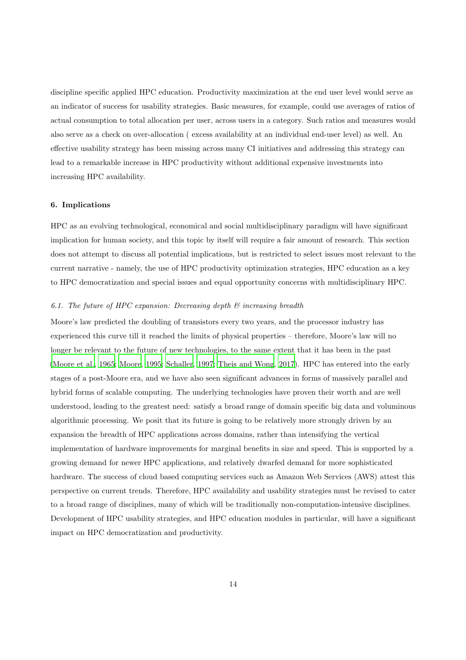discipline specific applied HPC education. Productivity maximization at the end user level would serve as an indicator of success for usability strategies. Basic measures, for example, could use averages of ratios of actual consumption to total allocation per user, across users in a category. Such ratios and measures would also serve as a check on over-allocation ( excess availability at an individual end-user level) as well. An effective usability strategy has been missing across many CI initiatives and addressing this strategy can lead to a remarkable increase in HPC productivity without additional expensive investments into increasing HPC availability.

## 6. Implications

HPC as an evolving technological, economical and social multidisciplinary paradigm will have significant implication for human society, and this topic by itself will require a fair amount of research. This section does not attempt to discuss all potential implications, but is restricted to select issues most relevant to the current narrative - namely, the use of HPC productivity optimization strategies, HPC education as a key to HPC democratization and special issues and equal opportunity concerns with multidisciplinary HPC.

## 6.1. The future of HPC expansion: Decreasing depth  $\mathcal{B}$  increasing breadth

Moore's law predicted the doubling of transistors every two years, and the processor industry has experienced this curve till it reached the limits of physical properties – therefore, Moore's law will no longer be relevant to the future of new technologies, to the same extent that it has been in the past [\(Moore et al.](#page-17-16), [1965;](#page-17-16) [Moore](#page-17-17), [1995](#page-17-17); [Schaller](#page-18-7), [1997;](#page-18-7) [Theis and Wong,](#page-18-8) [2017\)](#page-18-8). HPC has entered into the early stages of a post-Moore era, and we have also seen significant advances in forms of massively parallel and hybrid forms of scalable computing. The underlying technologies have proven their worth and are well understood, leading to the greatest need: satisfy a broad range of domain specific big data and voluminous algorithmic processing. We posit that its future is going to be relatively more strongly driven by an expansion the breadth of HPC applications across domains, rather than intensifying the vertical implementation of hardware improvements for marginal benefits in size and speed. This is supported by a growing demand for newer HPC applications, and relatively dwarfed demand for more sophisticated hardware. The success of cloud based computing services such as Amazon Web Services (AWS) attest this perspective on current trends. Therefore, HPC availability and usability strategies must be revised to cater to a broad range of disciplines, many of which will be traditionally non-computation-intensive disciplines. Development of HPC usability strategies, and HPC education modules in particular, will have a significant impact on HPC democratization and productivity.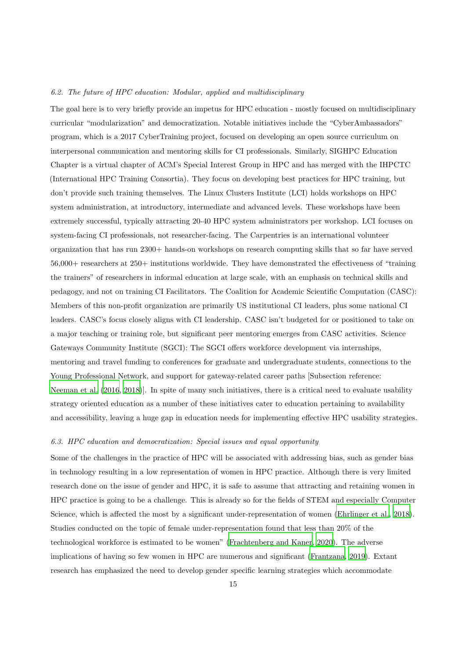## 6.2. The future of HPC education: Modular, applied and multidisciplinary

The goal here is to very briefly provide an impetus for HPC education - mostly focused on multidisciplinary curricular "modularization" and democratization. Notable initiatives include the "CyberAmbassadors" program, which is a 2017 CyberTraining project, focused on developing an open source curriculum on interpersonal communication and mentoring skills for CI professionals. Similarly, SIGHPC Education Chapter is a virtual chapter of ACM's Special Interest Group in HPC and has merged with the IHPCTC (International HPC Training Consortia). They focus on developing best practices for HPC training, but don't provide such training themselves. The Linux Clusters Institute (LCI) holds workshops on HPC system administration, at introductory, intermediate and advanced levels. These workshops have been extremely successful, typically attracting 20-40 HPC system administrators per workshop. LCI focuses on system-facing CI professionals, not researcher-facing. The Carpentries is an international volunteer organization that has run 2300+ hands-on workshops on research computing skills that so far have served 56,000+ researchers at 250+ institutions worldwide. They have demonstrated the effectiveness of "training the trainers" of researchers in informal education at large scale, with an emphasis on technical skills and pedagogy, and not on training CI Facilitators. The Coalition for Academic Scientific Computation (CASC): Members of this non-profit organization are primarily US institutional CI leaders, plus some national CI leaders. CASC's focus closely aligns with CI leadership. CASC isn't budgeted for or positioned to take on a major teaching or training role, but significant peer mentoring emerges from CASC activities. Science Gateways Community Institute (SGCI): The SGCI offers workforce development via internships, mentoring and travel funding to conferences for graduate and undergraduate students, connections to the Young Professional Network, and support for gateway-related career paths [Subsection reference: [Neeman et al. \(2016](#page-17-12), [2018](#page-17-13))]. In spite of many such initiatives, there is a critical need to evaluate usability strategy oriented education as a number of these initiatives cater to education pertaining to availability and accessibility, leaving a huge gap in education needs for implementing effective HPC usability strategies.

#### 6.3. HPC education and democratization: Special issues and equal opportunity

Some of the challenges in the practice of HPC will be associated with addressing bias, such as gender bias in technology resulting in a low representation of women in HPC practice. Although there is very limited research done on the issue of gender and HPC, it is safe to assume that attracting and retaining women in HPC practice is going to be a challenge. This is already so for the fields of STEM and especially Computer Science, which is affected the most by a significant under-representation of women [\(Ehrlinger et al., 2018\)](#page-16-16). Studies conducted on the topic of female under-representation found that less than 20% of the technological workforce is estimated to be women" [\(Frachtenberg and Kaner, 2020\)](#page-16-17). The adverse implications of having so few women in HPC are numerous and significant [\(Frantzana](#page-16-18), [2019](#page-16-18)). Extant research has emphasized the need to develop gender specific learning strategies which accommodate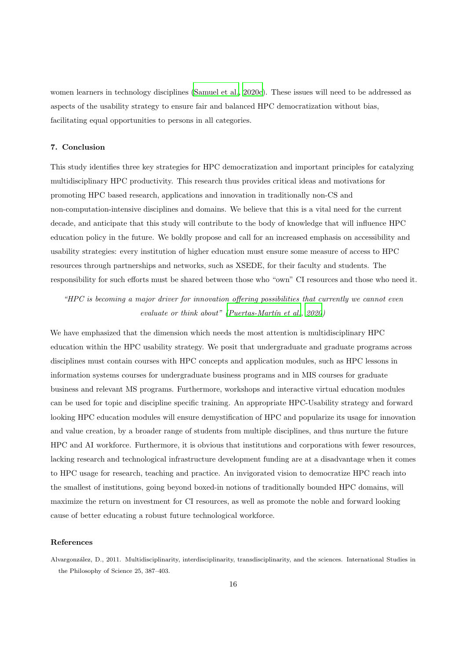women learners in technology disciplines [\(Samuel et al., 2020c](#page-18-9)). These issues will need to be addressed as aspects of the usability strategy to ensure fair and balanced HPC democratization without bias, facilitating equal opportunities to persons in all categories.

#### 7. Conclusion

This study identifies three key strategies for HPC democratization and important principles for catalyzing multidisciplinary HPC productivity. This research thus provides critical ideas and motivations for promoting HPC based research, applications and innovation in traditionally non-CS and non-computation-intensive disciplines and domains. We believe that this is a vital need for the current decade, and anticipate that this study will contribute to the body of knowledge that will influence HPC education policy in the future. We boldly propose and call for an increased emphasis on accessibility and usability strategies: every institution of higher education must ensure some measure of access to HPC resources through partnerships and networks, such as XSEDE, for their faculty and students. The responsibility for such efforts must be shared between those who "own" CI resources and those who need it.

## "HPC is becoming a major driver for innovation offering possibilities that currently we cannot even evaluate or think about" (Puertas-Martín et al.,  $2020$ )

We have emphasized that the dimension which needs the most attention is multidisciplinary HPC education within the HPC usability strategy. We posit that undergraduate and graduate programs across disciplines must contain courses with HPC concepts and application modules, such as HPC lessons in information systems courses for undergraduate business programs and in MIS courses for graduate business and relevant MS programs. Furthermore, workshops and interactive virtual education modules can be used for topic and discipline specific training. An appropriate HPC-Usability strategy and forward looking HPC education modules will ensure demystification of HPC and popularize its usage for innovation and value creation, by a broader range of students from multiple disciplines, and thus nurture the future HPC and AI workforce. Furthermore, it is obvious that institutions and corporations with fewer resources, lacking research and technological infrastructure development funding are at a disadvantage when it comes to HPC usage for research, teaching and practice. An invigorated vision to democratize HPC reach into the smallest of institutions, going beyond boxed-in notions of traditionally bounded HPC domains, will maximize the return on investment for CI resources, as well as promote the noble and forward looking cause of better educating a robust future technological workforce.

#### References

<span id="page-15-0"></span>Alvargonz´alez, D., 2011. Multidisciplinarity, interdisciplinarity, transdisciplinarity, and the sciences. International Studies in the Philosophy of Science 25, 387–403.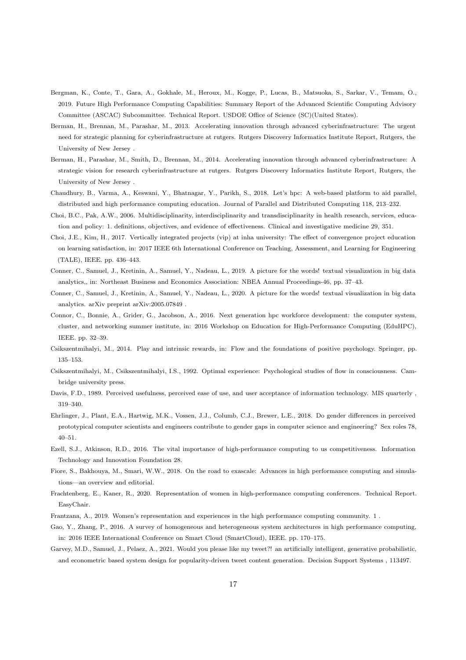- <span id="page-16-1"></span>Bergman, K., Conte, T., Gara, A., Gokhale, M., Heroux, M., Kogge, P., Lucas, B., Matsuoka, S., Sarkar, V., Temam, O., 2019. Future High Performance Computing Capabilities: Summary Report of the Advanced Scientific Computing Advisory Committee (ASCAC) Subcommittee. Technical Report. USDOE Office of Science (SC)(United States).
- <span id="page-16-11"></span>Berman, H., Brennan, M., Parashar, M., 2013. Accelerating innovation through advanced cyberinfrastructure: The urgent need for strategic planning for cyberinfrastructure at rutgers. Rutgers Discovery Informatics Institute Report, Rutgers, the University of New Jersey .
- <span id="page-16-12"></span>Berman, H., Parashar, M., Smith, D., Brennan, M., 2014. Accelerating innovation through advanced cyberinfrastructure: A strategic vision for research cyberinfrastructure at rutgers. Rutgers Discovery Informatics Institute Report, Rutgers, the University of New Jersey .
- <span id="page-16-15"></span>Chaudhury, B., Varma, A., Keswani, Y., Bhatnagar, Y., Parikh, S., 2018. Let's hpc: A web-based platform to aid parallel, distributed and high performance computing education. Journal of Parallel and Distributed Computing 118, 213–232.
- <span id="page-16-6"></span>Choi, B.C., Pak, A.W., 2006. Multidisciplinarity, interdisciplinarity and transdisciplinarity in health research, services, education and policy: 1. definitions, objectives, and evidence of effectiveness. Clinical and investigative medicine 29, 351.
- <span id="page-16-14"></span>Choi, J.E., Kim, H., 2017. Vertically integrated projects (vip) at inha university: The effect of convergence project education on learning satisfaction, in: 2017 IEEE 6th International Conference on Teaching, Assessment, and Learning for Engineering (TALE), IEEE. pp. 436–443.
- <span id="page-16-4"></span>Conner, C., Samuel, J., Kretinin, A., Samuel, Y., Nadeau, L., 2019. A picture for the words! textual visualization in big data analytics,, in: Northeast Business and Economics Association: NBEA Annual Proceedings-46, pp. 37–43.
- <span id="page-16-5"></span>Conner, C., Samuel, J., Kretinin, A., Samuel, Y., Nadeau, L., 2020. A picture for the words! textual visualization in big data analytics. arXiv preprint arXiv:2005.07849 .
- <span id="page-16-13"></span>Connor, C., Bonnie, A., Grider, G., Jacobson, A., 2016. Next generation hpc workforce development: the computer system, cluster, and networking summer institute, in: 2016 Workshop on Education for High-Performance Computing (EduHPC), IEEE. pp. 32–39.
- <span id="page-16-8"></span>Csikszentmihalyi, M., 2014. Play and intrinsic rewards, in: Flow and the foundations of positive psychology. Springer, pp. 135–153.
- <span id="page-16-9"></span>Csikszentmihalyi, M., Csikszentmihalyi, I.S., 1992. Optimal experience: Psychological studies of flow in consciousness. Cambridge university press.
- <span id="page-16-7"></span>Davis, F.D., 1989. Perceived usefulness, perceived ease of use, and user acceptance of information technology. MIS quarterly , 319–340.
- <span id="page-16-16"></span>Ehrlinger, J., Plant, E.A., Hartwig, M.K., Vossen, J.J., Columb, C.J., Brewer, L.E., 2018. Do gender differences in perceived prototypical computer scientists and engineers contribute to gender gaps in computer science and engineering? Sex roles 78, 40–51.
- <span id="page-16-0"></span>Ezell, S.J., Atkinson, R.D., 2016. The vital importance of high-performance computing to us competitiveness. Information Technology and Innovation Foundation 28.
- <span id="page-16-3"></span>Fiore, S., Bakhouya, M., Smari, W.W., 2018. On the road to exascale: Advances in high performance computing and simulations—an overview and editorial.
- <span id="page-16-17"></span>Frachtenberg, E., Kaner, R., 2020. Representation of women in high-performance computing conferences. Technical Report. EasyChair.
- <span id="page-16-18"></span>Frantzana, A., 2019. Women's representation and experiences in the high performance computing community. 1 .
- <span id="page-16-2"></span>Gao, Y., Zhang, P., 2016. A survey of homogeneous and heterogeneous system architectures in high performance computing, in: 2016 IEEE International Conference on Smart Cloud (SmartCloud), IEEE. pp. 170–175.
- <span id="page-16-10"></span>Garvey, M.D., Samuel, J., Pelaez, A., 2021. Would you please like my tweet?! an artificially intelligent, generative probabilistic, and econometric based system design for popularity-driven tweet content generation. Decision Support Systems , 113497.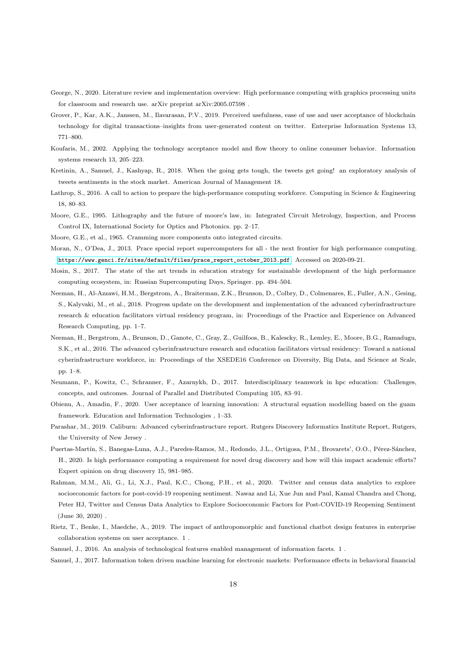- <span id="page-17-0"></span>George, N., 2020. Literature review and implementation overview: High performance computing with graphics processing units for classroom and research use. arXiv preprint arXiv:2005.07598 .
- <span id="page-17-7"></span>Grover, P., Kar, A.K., Janssen, M., Ilavarasan, P.V., 2019. Perceived usefulness, ease of use and user acceptance of blockchain technology for digital transactions–insights from user-generated content on twitter. Enterprise Information Systems 13, 771–800.
- <span id="page-17-10"></span>Koufaris, M., 2002. Applying the technology acceptance model and flow theory to online consumer behavior. Information systems research 13, 205–223.
- <span id="page-17-14"></span>Kretinin, A., Samuel, J., Kashyap, R., 2018. When the going gets tough, the tweets get going! an exploratory analysis of tweets sentiments in the stock market. American Journal of Management 18.
- <span id="page-17-1"></span>Lathrop, S., 2016. A call to action to prepare the high-performance computing workforce. Computing in Science & Engineering 18, 80–83.
- <span id="page-17-17"></span>Moore, G.E., 1995. Lithography and the future of moore's law, in: Integrated Circuit Metrology, Inspection, and Process Control IX, International Society for Optics and Photonics. pp. 2–17.
- <span id="page-17-16"></span>Moore, G.E., et al., 1965. Cramming more components onto integrated circuits.
- <span id="page-17-2"></span>Moran, N., O'Dea, J., 2013. Prace special report supercomputers for all - the next frontier for high performance computing. [https://www.genci.fr/sites/default/files/prace\\_report\\_october\\_2013.pdf](https://www.genci.fr/sites/default/files/prace_report_october_2013.pdf). Accessed on 2020-09-21.
- <span id="page-17-3"></span>Mosin, S., 2017. The state of the art trends in education strategy for sustainable development of the high performance computing ecosystem, in: Russian Supercomputing Days, Springer. pp. 494–504.
- <span id="page-17-13"></span>Neeman, H., Al-Azzawi, H.M., Bergstrom, A., Braiterman, Z.K., Brunson, D., Colbry, D., Colmenares, E., Fuller, A.N., Gesing, S., Kalyvaki, M., et al., 2018. Progress update on the development and implementation of the advanced cyberinfrastructure research & education facilitators virtual residency program, in: Proceedings of the Practice and Experience on Advanced Research Computing, pp. 1–7.
- <span id="page-17-12"></span>Neeman, H., Bergstrom, A., Brunson, D., Ganote, C., Gray, Z., Guilfoos, B., Kalescky, R., Lemley, E., Moore, B.G., Ramadugu, S.K., et al., 2016. The advanced cyberinfrastructure research and education facilitators virtual residency: Toward a national cyberinfrastructure workforce, in: Proceedings of the XSEDE16 Conference on Diversity, Big Data, and Science at Scale, pp. 1–8.
- <span id="page-17-15"></span>Neumann, P., Kowitz, C., Schranner, F., Azarnykh, D., 2017. Interdisciplinary teamwork in hpc education: Challenges, concepts, and outcomes. Journal of Parallel and Distributed Computing 105, 83–91.
- <span id="page-17-8"></span>Obienu, A., Amadin, F., 2020. User acceptance of learning innovation: A structural equation modelling based on the guam framework. Education and Information Technologies , 1–33.
- <span id="page-17-11"></span>Parashar, M., 2019. Caliburn: Advanced cyberinfrastructure report. Rutgers Discovery Informatics Institute Report, Rutgers, the University of New Jersey .
- <span id="page-17-18"></span>Puertas-Martín, S., Banegas-Luna, A.J., Paredes-Ramos, M., Redondo, J.L., Ortigosa, P.M., Brovarets', O.O., Pérez-Sánchez, H., 2020. Is high performance computing a requirement for novel drug discovery and how will this impact academic efforts? Expert opinion on drug discovery 15, 981–985.
- <span id="page-17-5"></span>Rahman, M.M., Ali, G., Li, X.J., Paul, K.C., Chong, P.H., et al., 2020. Twitter and census data analytics to explore socioeconomic factors for post-covid-19 reopening sentiment. Nawaz and Li, Xue Jun and Paul, Kamal Chandra and Chong, Peter HJ, Twitter and Census Data Analytics to Explore Socioeconomic Factors for Post-COVID-19 Reopening Sentiment (June 30, 2020) .
- <span id="page-17-9"></span>Rietz, T., Benke, I., Maedche, A., 2019. The impact of anthropomorphic and functional chatbot design features in enterprise collaboration systems on user acceptance. 1 .
- <span id="page-17-6"></span>Samuel, J., 2016. An analysis of technological features enabled management of information facets. 1 .
- <span id="page-17-4"></span>Samuel, J., 2017. Information token driven machine learning for electronic markets: Performance effects in behavioral financial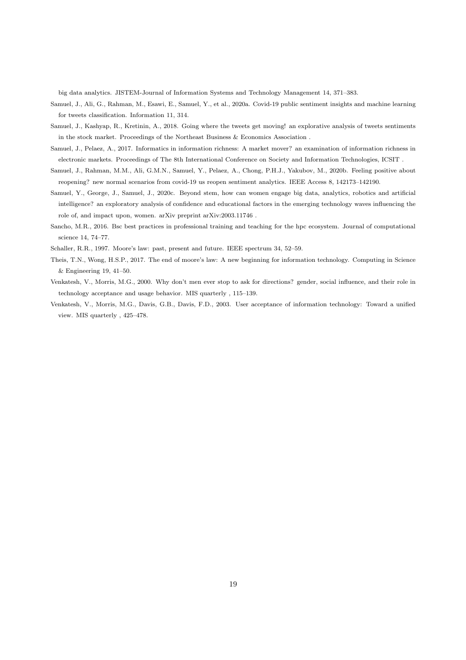big data analytics. JISTEM-Journal of Information Systems and Technology Management 14, 371–383.

- <span id="page-18-4"></span>Samuel, J., Ali, G., Rahman, M., Esawi, E., Samuel, Y., et al., 2020a. Covid-19 public sentiment insights and machine learning for tweets classification. Information 11, 314.
- <span id="page-18-0"></span>Samuel, J., Kashyap, R., Kretinin, A., 2018. Going where the tweets get moving! an explorative analysis of tweets sentiments in the stock market. Proceedings of the Northeast Business & Economics Association .
- <span id="page-18-2"></span>Samuel, J., Pelaez, A., 2017. Informatics in information richness: A market mover? an examination of information richness in electronic markets. Proceedings of The 8th International Conference on Society and Information Technologies, ICSIT .
- <span id="page-18-5"></span>Samuel, J., Rahman, M.M., Ali, G.M.N., Samuel, Y., Pelaez, A., Chong, P.H.J., Yakubov, M., 2020b. Feeling positive about reopening? new normal scenarios from covid-19 us reopen sentiment analytics. IEEE Access 8, 142173–142190.
- <span id="page-18-9"></span>Samuel, Y., George, J., Samuel, J., 2020c. Beyond stem, how can women engage big data, analytics, robotics and artificial intelligence? an exploratory analysis of confidence and educational factors in the emerging technology waves influencing the role of, and impact upon, women. arXiv preprint arXiv:2003.11746 .
- <span id="page-18-6"></span>Sancho, M.R., 2016. Bsc best practices in professional training and teaching for the hpc ecosystem. Journal of computational science 14, 74–77.
- <span id="page-18-7"></span>Schaller, R.R., 1997. Moore's law: past, present and future. IEEE spectrum 34, 52–59.
- <span id="page-18-8"></span>Theis, T.N., Wong, H.S.P., 2017. The end of moore's law: A new beginning for information technology. Computing in Science & Engineering 19, 41–50.
- <span id="page-18-3"></span>Venkatesh, V., Morris, M.G., 2000. Why don't men ever stop to ask for directions? gender, social influence, and their role in technology acceptance and usage behavior. MIS quarterly , 115–139.
- <span id="page-18-1"></span>Venkatesh, V., Morris, M.G., Davis, G.B., Davis, F.D., 2003. User acceptance of information technology: Toward a unified view. MIS quarterly , 425–478.